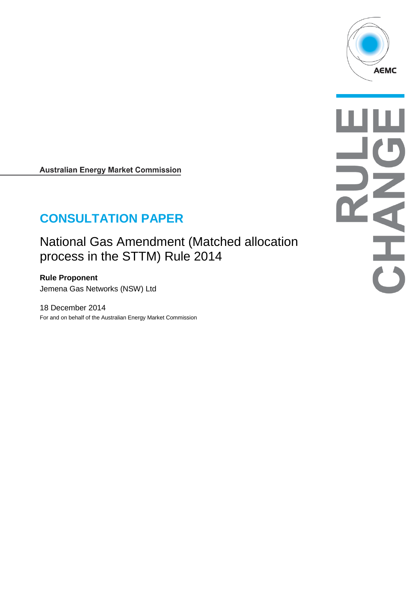

**Australian Energy Market Commission** 

# **CONSULTATION PAPER**

National Gas Amendment (Matched allocation process in the STTM) Rule 2014

**Rule Proponent** Jemena Gas Networks (NSW) Ltd

18 December 2014 For and on behalf of the Australian Energy Market Commission NATH A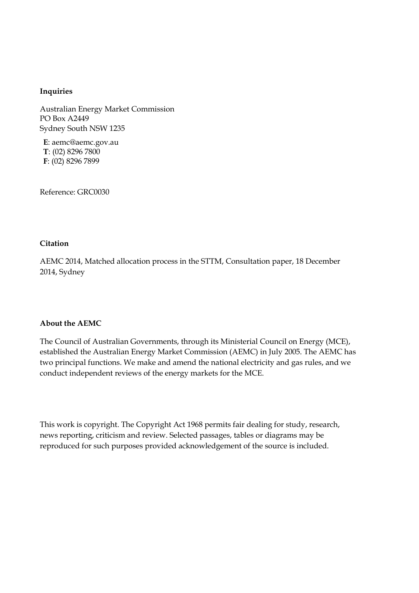#### **Inquiries**

Australian Energy Market Commission PO Box A2449 Sydney South NSW 1235

**E**: aemc@aemc.gov.au **T**: (02) 8296 7800 **F**: (02) 8296 7899

Reference: GRC0030

#### **Citation**

AEMC 2014, Matched allocation process in the STTM, Consultation paper, 18 December 2014, Sydney

#### **About the AEMC**

The Council of Australian Governments, through its Ministerial Council on Energy (MCE), established the Australian Energy Market Commission (AEMC) in July 2005. The AEMC has two principal functions. We make and amend the national electricity and gas rules, and we conduct independent reviews of the energy markets for the MCE.

This work is copyright. The Copyright Act 1968 permits fair dealing for study, research, news reporting, criticism and review. Selected passages, tables or diagrams may be reproduced for such purposes provided acknowledgement of the source is included.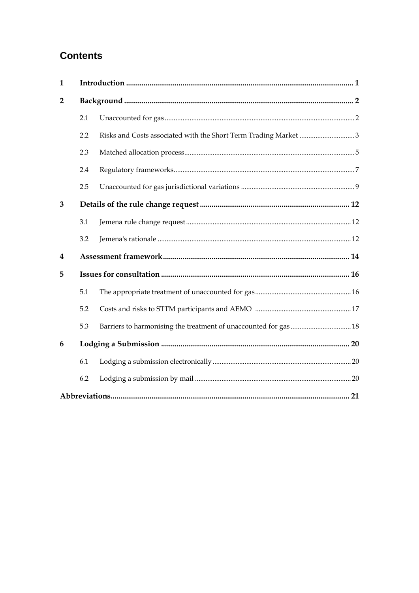## **Contents**

| 1              |     |  |  |  |  |  |
|----------------|-----|--|--|--|--|--|
| $\overline{2}$ |     |  |  |  |  |  |
|                | 2.1 |  |  |  |  |  |
|                | 2.2 |  |  |  |  |  |
|                | 2.3 |  |  |  |  |  |
|                | 2.4 |  |  |  |  |  |
|                | 2.5 |  |  |  |  |  |
| 3              |     |  |  |  |  |  |
|                | 3.1 |  |  |  |  |  |
|                | 3.2 |  |  |  |  |  |
| 4              |     |  |  |  |  |  |
| 5              |     |  |  |  |  |  |
|                | 5.1 |  |  |  |  |  |
|                | 5.2 |  |  |  |  |  |
|                | 5.3 |  |  |  |  |  |
| 6              |     |  |  |  |  |  |
|                | 6.1 |  |  |  |  |  |
|                | 6.2 |  |  |  |  |  |
|                |     |  |  |  |  |  |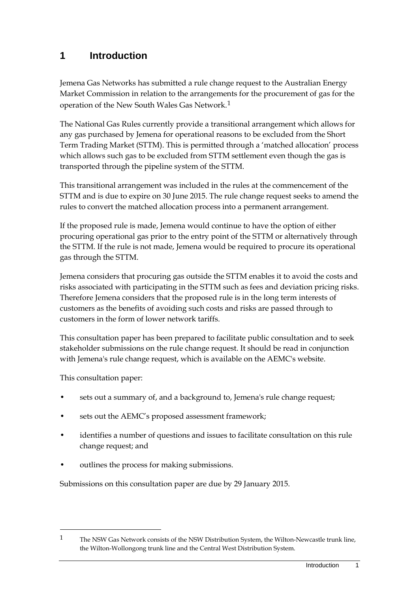## <span id="page-4-0"></span>**1 Introduction**

Jemena Gas Networks has submitted a rule change request to the Australian Energy Market Commission in relation to the arrangements for the procurement of gas for the operation of the New South Wales Gas Network.[1](#page-4-1)

The National Gas Rules currently provide a transitional arrangement which allows for any gas purchased by Jemena for operational reasons to be excluded from the Short Term Trading Market (STTM). This is permitted through a 'matched allocation' process which allows such gas to be excluded from STTM settlement even though the gas is transported through the pipeline system of the STTM.

This transitional arrangement was included in the rules at the commencement of the STTM and is due to expire on 30 June 2015. The rule change request seeks to amend the rules to convert the matched allocation process into a permanent arrangement.

If the proposed rule is made, Jemena would continue to have the option of either procuring operational gas prior to the entry point of the STTM or alternatively through the STTM. If the rule is not made, Jemena would be required to procure its operational gas through the STTM.

Jemena considers that procuring gas outside the STTM enables it to avoid the costs and risks associated with participating in the STTM such as fees and deviation pricing risks. Therefore Jemena considers that the proposed rule is in the long term interests of customers as the benefits of avoiding such costs and risks are passed through to customers in the form of lower network tariffs.

This consultation paper has been prepared to facilitate public consultation and to seek stakeholder submissions on the rule change request. It should be read in conjunction with Jemena's rule change request, which is available on the AEMC's website.

This consultation paper:

-

- sets out a summary of, and a background to, Jemena's rule change request;
- sets out the AEMC's proposed assessment framework;
- identifies a number of questions and issues to facilitate consultation on this rule change request; and
- outlines the process for making submissions.

Submissions on this consultation paper are due by 29 January 2015.

<span id="page-4-1"></span><sup>1</sup> The NSW Gas Network consists of the NSW Distribution System, the Wilton-Newcastle trunk line, the Wilton-Wollongong trunk line and the Central West Distribution System.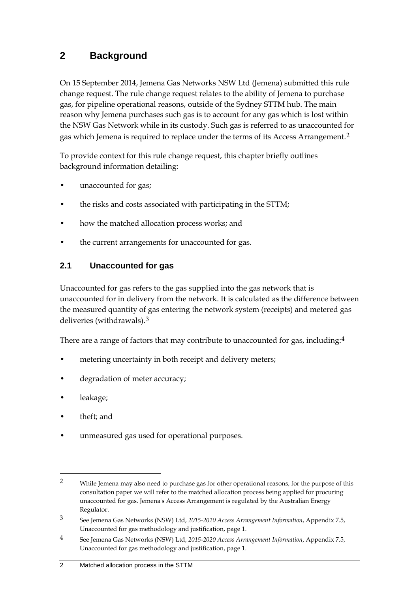## <span id="page-5-0"></span>**2 Background**

On 15 September 2014, Jemena Gas Networks NSW Ltd (Jemena) submitted this rule change request. The rule change request relates to the ability of Jemena to purchase gas, for pipeline operational reasons, outside of the Sydney STTM hub. The main reason why Jemena purchases such gas is to account for any gas which is lost within the NSW Gas Network while in its custody. Such gas is referred to as unaccounted for gas which Jemena is required to replace under the terms of its Access Arrangement.[2](#page-5-2)

To provide context for this rule change request, this chapter briefly outlines background information detailing:

- unaccounted for gas;
- the risks and costs associated with participating in the STTM;
- how the matched allocation process works; and
- the current arrangements for unaccounted for gas.

### <span id="page-5-1"></span>**2.1 Unaccounted for gas**

Unaccounted for gas refers to the gas supplied into the gas network that is unaccounted for in delivery from the network. It is calculated as the difference between the measured quantity of gas entering the network system (receipts) and metered gas deliveries (withdrawals).[3](#page-5-3)

There are a range of factors that may contribute to unaccounted for gas, including:<sup>[4](#page-5-4)</sup>

- metering uncertainty in both receipt and delivery meters;
- degradation of meter accuracy;
- leakage;
- theft; and

-

• unmeasured gas used for operational purposes.

<span id="page-5-2"></span><sup>&</sup>lt;sup>2</sup> While Jemena may also need to purchase gas for other operational reasons, for the purpose of this consultation paper we will refer to the matched allocation process being applied for procuring unaccounted for gas. Jemena's Access Arrangement is regulated by the Australian Energy Regulator.

<span id="page-5-3"></span><sup>3</sup> See Jemena Gas Networks (NSW) Ltd, *2015-2020 Access Arrangement Information*, Appendix 7.5, Unaccounted for gas methodology and justification, page 1.

<span id="page-5-4"></span><sup>4</sup> See Jemena Gas Networks (NSW) Ltd, *2015-2020 Access Arrangement Information*, Appendix 7.5, Unaccounted for gas methodology and justification, page 1.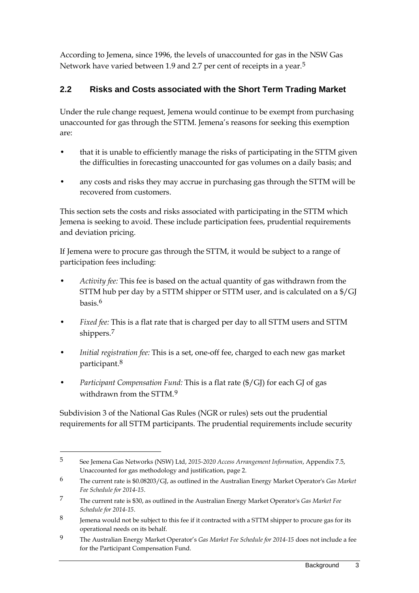According to Jemena, since 1996, the levels of unaccounted for gas in the NSW Gas Network have varied between 1.9 and 2.7 per cent of receipts in a year.<sup>[5](#page-6-1)</sup>

## <span id="page-6-0"></span>**2.2 Risks and Costs associated with the Short Term Trading Market**

Under the rule change request, Jemena would continue to be exempt from purchasing unaccounted for gas through the STTM. Jemena's reasons for seeking this exemption are:

- that it is unable to efficiently manage the risks of participating in the STTM given the difficulties in forecasting unaccounted for gas volumes on a daily basis; and
- any costs and risks they may accrue in purchasing gas through the STTM will be recovered from customers.

This section sets the costs and risks associated with participating in the STTM which Jemena is seeking to avoid. These include participation fees, prudential requirements and deviation pricing.

If Jemena were to procure gas through the STTM, it would be subject to a range of participation fees including:

- *Activity fee:* This fee is based on the actual quantity of gas withdrawn from the STTM hub per day by a STTM shipper or STTM user, and is calculated on a \$/GJ basis.[6](#page-6-2)
- *Fixed fee:* This is a flat rate that is charged per day to all STTM users and STTM shippers.[7](#page-6-3)
- *Initial registration fee:* This is a set, one-off fee, charged to each new gas market participant.[8](#page-6-4)
- *Participant Compensation Fund:* This is a flat rate (\$/GJ) for each GJ of gas withdrawn from the STTM [9](#page-6-5)

Subdivision 3 of the National Gas Rules (NGR or rules) sets out the prudential requirements for all STTM participants. The prudential requirements include security

<span id="page-6-1"></span><sup>5</sup> See Jemena Gas Networks (NSW) Ltd, *2015-2020 Access Arrangement Information*, Appendix 7.5, Unaccounted for gas methodology and justification, page 2.

<span id="page-6-2"></span><sup>6</sup> The current rate is \$0.08203/GJ, as outlined in the Australian Energy Market Operator's *Gas Market Fee Schedule for 2014-15*.

<span id="page-6-3"></span><sup>7</sup> The current rate is \$30, as outlined in the Australian Energy Market Operator's *Gas Market Fee Schedule for 2014-15*.

<span id="page-6-4"></span><sup>8</sup> Jemena would not be subject to this fee if it contracted with a STTM shipper to procure gas for its operational needs on its behalf.

<span id="page-6-5"></span><sup>9</sup> The Australian Energy Market Operator's *Gas Market Fee Schedule for 2014-15* does not include a fee for the Participant Compensation Fund.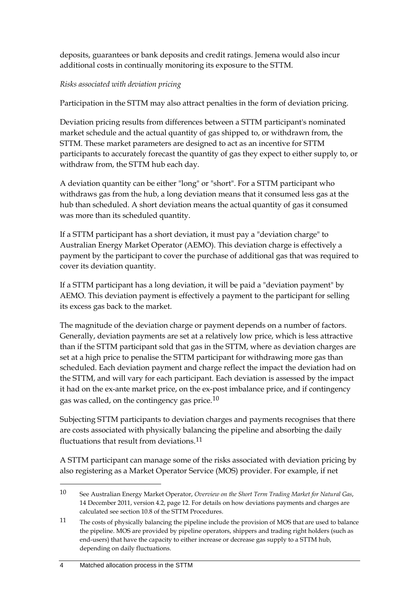deposits, guarantees or bank deposits and credit ratings. Jemena would also incur additional costs in continually monitoring its exposure to the STTM.

#### *Risks associated with deviation pricing*

Participation in the STTM may also attract penalties in the form of deviation pricing.

Deviation pricing results from differences between a STTM participant's nominated market schedule and the actual quantity of gas shipped to, or withdrawn from, the STTM. These market parameters are designed to act as an incentive for STTM participants to accurately forecast the quantity of gas they expect to either supply to, or withdraw from, the STTM hub each day.

A deviation quantity can be either "long" or "short". For a STTM participant who withdraws gas from the hub, a long deviation means that it consumed less gas at the hub than scheduled. A short deviation means the actual quantity of gas it consumed was more than its scheduled quantity.

If a STTM participant has a short deviation, it must pay a "deviation charge" to Australian Energy Market Operator (AEMO). This deviation charge is effectively a payment by the participant to cover the purchase of additional gas that was required to cover its deviation quantity.

If a STTM participant has a long deviation, it will be paid a "deviation payment" by AEMO. This deviation payment is effectively a payment to the participant for selling its excess gas back to the market.

The magnitude of the deviation charge or payment depends on a number of factors. Generally, deviation payments are set at a relatively low price, which is less attractive than if the STTM participant sold that gas in the STTM, where as deviation charges are set at a high price to penalise the STTM participant for withdrawing more gas than scheduled. Each deviation payment and charge reflect the impact the deviation had on the STTM, and will vary for each participant. Each deviation is assessed by the impact it had on the ex-ante market price, on the ex-post imbalance price, and if contingency gas was called, on the contingency gas price.[10](#page-7-0)

Subjecting STTM participants to deviation charges and payments recognises that there are costs associated with physically balancing the pipeline and absorbing the daily fluctuations that result from deviations.[11](#page-7-1)

A STTM participant can manage some of the risks associated with deviation pricing by also registering as a Market Operator Service (MOS) provider. For example, if net

<span id="page-7-0"></span><sup>10</sup> See Australian Energy Market Operator, *Overview on the Short Term Trading Market for Natural Gas*, 14 December 2011, version 4.2, page 12. For details on how deviations payments and charges are calculated see section 10.8 of the STTM Procedures.

<span id="page-7-1"></span><sup>11</sup> The costs of physically balancing the pipeline include the provision of MOS that are used to balance the pipeline. MOS are provided by pipeline operators, shippers and trading right holders (such as end-users) that have the capacity to either increase or decrease gas supply to a STTM hub, depending on daily fluctuations.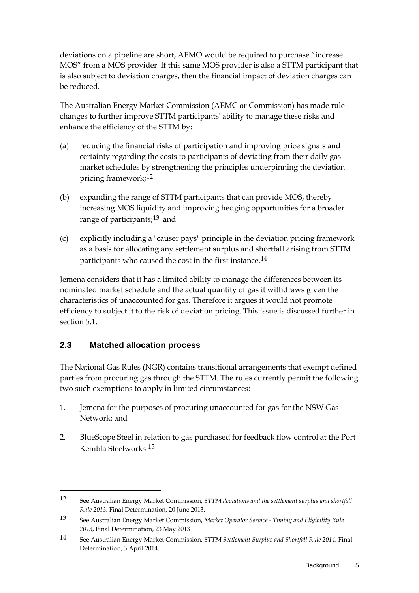deviations on a pipeline are short, AEMO would be required to purchase "increase MOS" from a MOS provider. If this same MOS provider is also a STTM participant that is also subject to deviation charges, then the financial impact of deviation charges can be reduced.

The Australian Energy Market Commission (AEMC or Commission) has made rule changes to further improve STTM participants' ability to manage these risks and enhance the efficiency of the STTM by:

- (a) reducing the financial risks of participation and improving price signals and certainty regarding the costs to participants of deviating from their daily gas market schedules by strengthening the principles underpinning the deviation pricing framework;[12](#page-8-1)
- (b) expanding the range of STTM participants that can provide MOS, thereby increasing MOS liquidity and improving hedging opportunities for a broader range of participants;<sup>[13](#page-8-2)</sup> and
- (c) explicitly including a "causer pays" principle in the deviation pricing framework as a basis for allocating any settlement surplus and shortfall arising from STTM participants who caused the cost in the first instance.<sup>[14](#page-8-3)</sup>

Jemena considers that it has a limited ability to manage the differences between its nominated market schedule and the actual quantity of gas it withdraws given the characteristics of unaccounted for gas. Therefore it argues it would not promote efficiency to subject it to the risk of deviation pricing. This issue is discussed further in section 5.1.

### <span id="page-8-0"></span>**2.3 Matched allocation process**

-

The National Gas Rules (NGR) contains transitional arrangements that exempt defined parties from procuring gas through the STTM. The rules currently permit the following two such exemptions to apply in limited circumstances:

- 1. Jemena for the purposes of procuring unaccounted for gas for the NSW Gas Network; and
- 2. BlueScope Steel in relation to gas purchased for feedback flow control at the Port Kembla Steelworks.[15](#page-8-2)

<span id="page-8-1"></span><sup>12</sup> See Australian Energy Market Commission, *STTM deviations and the settlement surplus and shortfall Rule 2013*, Final Determination, 20 June 2013.

<span id="page-8-2"></span><sup>13</sup> See Australian Energy Market Commission, *Market Operator Service - Timing and Eligibility Rule 2013*, Final Determination, 23 May 2013

<span id="page-8-3"></span><sup>14</sup> See Australian Energy Market Commission, *STTM Settlement Surplus and Shortfall Rule 2014*, Final Determination, 3 April 2014.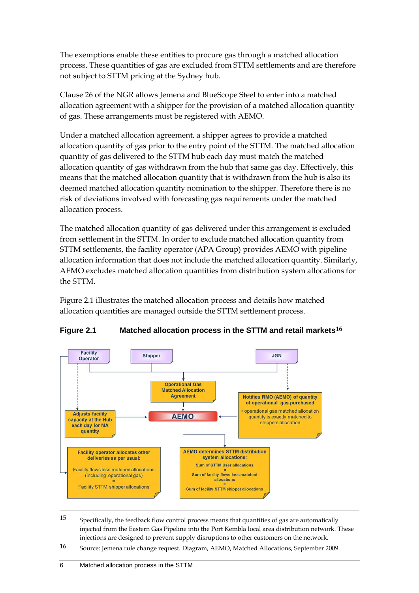The exemptions enable these entities to procure gas through a matched allocation process. These quantities of gas are excluded from STTM settlements and are therefore not subject to STTM pricing at the Sydney hub.

Clause 26 of the NGR allows Jemena and BlueScope Steel to enter into a matched allocation agreement with a shipper for the provision of a matched allocation quantity of gas. These arrangements must be registered with AEMO.

Under a matched allocation agreement, a shipper agrees to provide a matched allocation quantity of gas prior to the entry point of the STTM. The matched allocation quantity of gas delivered to the STTM hub each day must match the matched allocation quantity of gas withdrawn from the hub that same gas day. Effectively, this means that the matched allocation quantity that is withdrawn from the hub is also its deemed matched allocation quantity nomination to the shipper. Therefore there is no risk of deviations involved with forecasting gas requirements under the matched allocation process.

The matched allocation quantity of gas delivered under this arrangement is excluded from settlement in the STTM. In order to exclude matched allocation quantity from STTM settlements, the facility operator (APA Group) provides AEMO with pipeline allocation information that does not include the matched allocation quantity. Similarly, AEMO excludes matched allocation quantities from distribution system allocations for the STTM.

Figure 2.1 illustrates the matched allocation process and details how matched allocation quantities are managed outside the STTM settlement process.



#### **Figure 2.1 Matched allocation process in the STTM and retail markets[16](#page-9-0)**

15 Specifically, the feedback flow control process means that quantities of gas are automatically injected from the Eastern Gas Pipeline into the Port Kembla local area distribution network. These injections are designed to prevent supply disruptions to other customers on the network.

<span id="page-9-0"></span>16 Source: Jemena rule change request. Diagram, AEMO, Matched Allocations, September 2009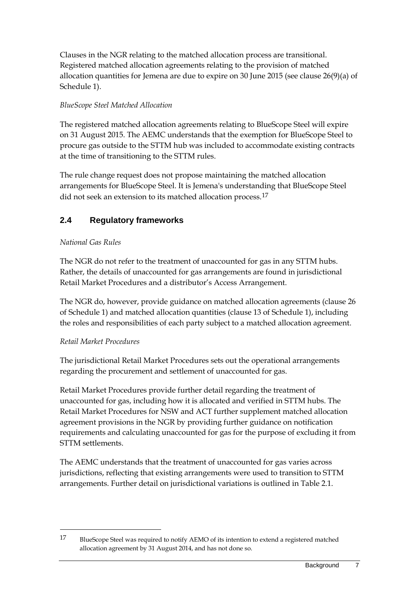Clauses in the NGR relating to the matched allocation process are transitional. Registered matched allocation agreements relating to the provision of matched allocation quantities for Jemena are due to expire on 30 June 2015 (see clause 26(9)(a) of Schedule 1).

#### *BlueScope Steel Matched Allocation*

The registered matched allocation agreements relating to BlueScope Steel will expire on 31 August 2015. The AEMC understands that the exemption for BlueScope Steel to procure gas outside to the STTM hub was included to accommodate existing contracts at the time of transitioning to the STTM rules.

The rule change request does not propose maintaining the matched allocation arrangements for BlueScope Steel. It is Jemena's understanding that BlueScope Steel did not seek an extension to its matched allocation process.<sup>[17](#page-10-1)</sup>

## <span id="page-10-0"></span>**2.4 Regulatory frameworks**

### *National Gas Rules*

The NGR do not refer to the treatment of unaccounted for gas in any STTM hubs. Rather, the details of unaccounted for gas arrangements are found in jurisdictional Retail Market Procedures and a distributor's Access Arrangement.

The NGR do, however, provide guidance on matched allocation agreements (clause 26 of Schedule 1) and matched allocation quantities (clause 13 of Schedule 1), including the roles and responsibilities of each party subject to a matched allocation agreement.

#### *Retail Market Procedures*

-

The jurisdictional Retail Market Procedures sets out the operational arrangements regarding the procurement and settlement of unaccounted for gas.

Retail Market Procedures provide further detail regarding the treatment of unaccounted for gas, including how it is allocated and verified in STTM hubs. The Retail Market Procedures for NSW and ACT further supplement matched allocation agreement provisions in the NGR by providing further guidance on notification requirements and calculating unaccounted for gas for the purpose of excluding it from STTM settlements.

The AEMC understands that the treatment of unaccounted for gas varies across jurisdictions, reflecting that existing arrangements were used to transition to STTM arrangements. Further detail on jurisdictional variations is outlined in Table 2.1.

<span id="page-10-1"></span><sup>17</sup> BlueScope Steel was required to notify AEMO of its intention to extend a registered matched allocation agreement by 31 August 2014, and has not done so.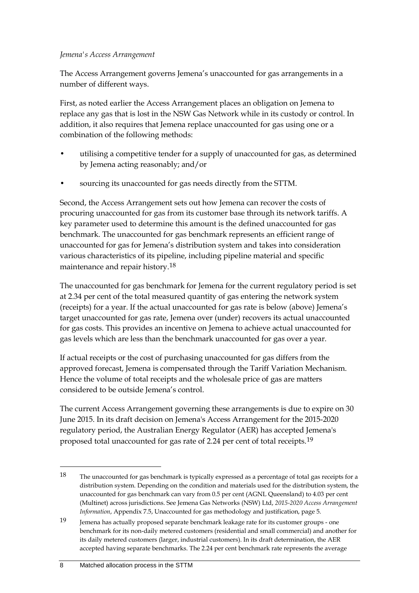#### *Jemena's Access Arrangement*

The Access Arrangement governs Jemena's unaccounted for gas arrangements in a number of different ways.

First, as noted earlier the Access Arrangement places an obligation on Jemena to replace any gas that is lost in the NSW Gas Network while in its custody or control. In addition, it also requires that Jemena replace unaccounted for gas using one or a combination of the following methods:

- utilising a competitive tender for a supply of unaccounted for gas, as determined by Jemena acting reasonably; and/or
- sourcing its unaccounted for gas needs directly from the STTM.

Second, the Access Arrangement sets out how Jemena can recover the costs of procuring unaccounted for gas from its customer base through its network tariffs. A key parameter used to determine this amount is the defined unaccounted for gas benchmark. The unaccounted for gas benchmark represents an efficient range of unaccounted for gas for Jemena's distribution system and takes into consideration various characteristics of its pipeline, including pipeline material and specific maintenance and repair history.[18](#page-11-0)

The unaccounted for gas benchmark for Jemena for the current regulatory period is set at 2.34 per cent of the total measured quantity of gas entering the network system (receipts) for a year. If the actual unaccounted for gas rate is below (above) Jemena's target unaccounted for gas rate, Jemena over (under) recovers its actual unaccounted for gas costs. This provides an incentive on Jemena to achieve actual unaccounted for gas levels which are less than the benchmark unaccounted for gas over a year.

If actual receipts or the cost of purchasing unaccounted for gas differs from the approved forecast, Jemena is compensated through the Tariff Variation Mechanism. Hence the volume of total receipts and the wholesale price of gas are matters considered to be outside Jemena's control.

The current Access Arrangement governing these arrangements is due to expire on 30 June 2015. In its draft decision on Jemena's Access Arrangement for the 2015-2020 regulatory period, the Australian Energy Regulator (AER) has accepted Jemena's proposed total unaccounted for gas rate of 2.24 per cent of total receipts.<sup>[19](#page-11-1)</sup>

<span id="page-11-0"></span><sup>18</sup> The unaccounted for gas benchmark is typically expressed as a percentage of total gas receipts for a distribution system. Depending on the condition and materials used for the distribution system, the unaccounted for gas benchmark can vary from 0.5 per cent (AGNL Queensland) to 4.03 per cent (Multinet) across jurisdictions. See Jemena Gas Networks (NSW) Ltd, *2015-2020 Access Arrangement Information*, Appendix 7.5, Unaccounted for gas methodology and justification, page 5.

<span id="page-11-1"></span><sup>19</sup> Jemena has actually proposed separate benchmark leakage rate for its customer groups - one benchmark for its non-daily metered customers (residential and small commercial) and another for its daily metered customers (larger, industrial customers). In its draft determination, the AER accepted having separate benchmarks. The 2.24 per cent benchmark rate represents the average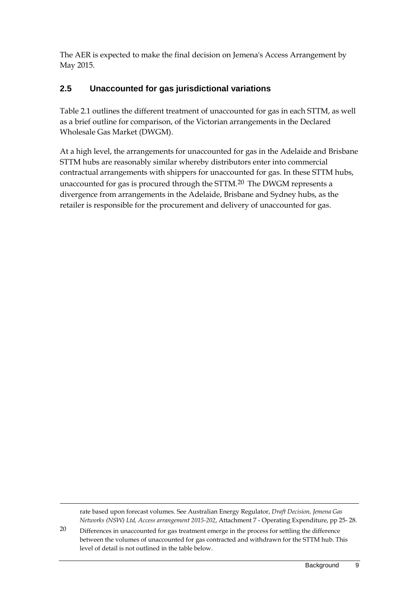The AER is expected to make the final decision on Jemena's Access Arrangement by May 2015.

### <span id="page-12-0"></span>**2.5 Unaccounted for gas jurisdictional variations**

Table 2.1 outlines the different treatment of unaccounted for gas in each STTM, as well as a brief outline for comparison, of the Victorian arrangements in the Declared Wholesale Gas Market (DWGM).

At a high level, the arrangements for unaccounted for gas in the Adelaide and Brisbane STTM hubs are reasonably similar whereby distributors enter into commercial contractual arrangements with shippers for unaccounted for gas. In these STTM hubs, unaccounted for gas is procured through the STTM.[20](#page-12-1) The DWGM represents a divergence from arrangements in the Adelaide, Brisbane and Sydney hubs, as the retailer is responsible for the procurement and delivery of unaccounted for gas.

rate based upon forecast volumes. See Australian Energy Regulator, *Draft Decision, Jemena Gas Networks (NSW) Ltd, Access arrangement 2015-202*, Attachment 7 - Operating Expenditure, pp 25- 28.

<span id="page-12-1"></span>20 Differences in unaccounted for gas treatment emerge in the process for settling the difference between the volumes of unaccounted for gas contracted and withdrawn for the STTM hub. This level of detail is not outlined in the table below.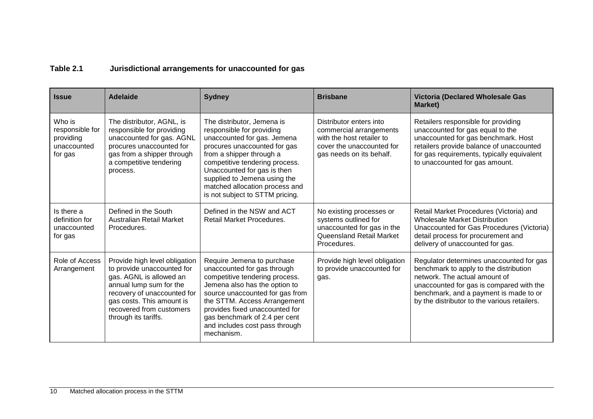### **Table 2.1 Jurisdictional arrangements for unaccounted for gas**

| <b>Issue</b>                                                     | <b>Adelaide</b>                                                                                                                                                                                                                   | <b>Sydney</b>                                                                                                                                                                                                                                                                                                            | <b>Brisbane</b>                                                                                                                          | <b>Victoria (Declared Wholesale Gas</b><br>Market)                                                                                                                                                                                                        |
|------------------------------------------------------------------|-----------------------------------------------------------------------------------------------------------------------------------------------------------------------------------------------------------------------------------|--------------------------------------------------------------------------------------------------------------------------------------------------------------------------------------------------------------------------------------------------------------------------------------------------------------------------|------------------------------------------------------------------------------------------------------------------------------------------|-----------------------------------------------------------------------------------------------------------------------------------------------------------------------------------------------------------------------------------------------------------|
| Who is<br>responsible for<br>providing<br>unaccounted<br>for gas | The distributor, AGNL, is<br>responsible for providing<br>unaccounted for gas. AGNL<br>procures unaccounted for<br>gas from a shipper through<br>a competitive tendering<br>process.                                              | The distributor, Jemena is<br>responsible for providing<br>unaccounted for gas. Jemena<br>procures unaccounted for gas<br>from a shipper through a<br>competitive tendering process.<br>Unaccounted for gas is then<br>supplied to Jemena using the<br>matched allocation process and<br>is not subject to STTM pricing. | Distributor enters into<br>commercial arrangements<br>with the host retailer to<br>cover the unaccounted for<br>gas needs on its behalf. | Retailers responsible for providing<br>unaccounted for gas equal to the<br>unaccounted for gas benchmark. Host<br>retailers provide balance of unaccounted<br>for gas requirements, typically equivalent<br>to unaccounted for gas amount.                |
| Is there a<br>definition for<br>unaccounted<br>for gas           | Defined in the South<br>Australian Retail Market<br>Procedures.                                                                                                                                                                   | Defined in the NSW and ACT<br>Retail Market Procedures.                                                                                                                                                                                                                                                                  | No existing processes or<br>systems outlined for<br>unaccounted for gas in the<br>Queensland Retail Market<br>Procedures.                | Retail Market Procedures (Victoria) and<br><b>Wholesale Market Distribution</b><br>Unaccounted for Gas Procedures (Victoria)<br>detail process for procurement and<br>delivery of unaccounted for gas.                                                    |
| Role of Access<br>Arrangement                                    | Provide high level obligation<br>to provide unaccounted for<br>gas. AGNL is allowed an<br>annual lump sum for the<br>recovery of unaccounted for<br>gas costs. This amount is<br>recovered from customers<br>through its tariffs. | Require Jemena to purchase<br>unaccounted for gas through<br>competitive tendering process.<br>Jemena also has the option to<br>source unaccounted for gas from<br>the STTM. Access Arrangement<br>provides fixed unaccounted for<br>gas benchmark of 2.4 per cent<br>and includes cost pass through<br>mechanism.       | Provide high level obligation<br>to provide unaccounted for<br>gas.                                                                      | Regulator determines unaccounted for gas<br>benchmark to apply to the distribution<br>network. The actual amount of<br>unaccounted for gas is compared with the<br>benchmark, and a payment is made to or<br>by the distributor to the various retailers. |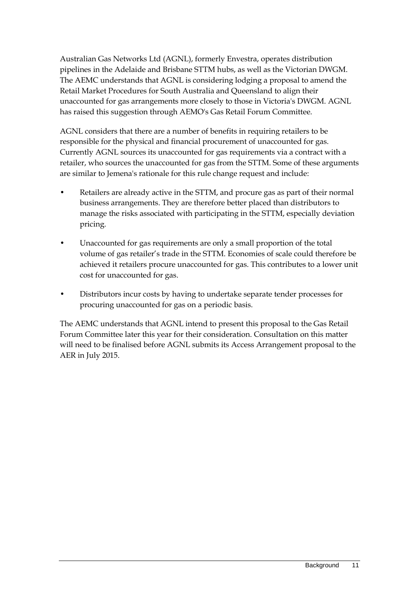Australian Gas Networks Ltd (AGNL), formerly Envestra, operates distribution pipelines in the Adelaide and Brisbane STTM hubs, as well as the Victorian DWGM. The AEMC understands that AGNL is considering lodging a proposal to amend the Retail Market Procedures for South Australia and Queensland to align their unaccounted for gas arrangements more closely to those in Victoria's DWGM. AGNL has raised this suggestion through AEMO's Gas Retail Forum Committee.

AGNL considers that there are a number of benefits in requiring retailers to be responsible for the physical and financial procurement of unaccounted for gas. Currently AGNL sources its unaccounted for gas requirements via a contract with a retailer, who sources the unaccounted for gas from the STTM. Some of these arguments are similar to Jemena's rationale for this rule change request and include:

- Retailers are already active in the STTM, and procure gas as part of their normal business arrangements. They are therefore better placed than distributors to manage the risks associated with participating in the STTM, especially deviation pricing.
- Unaccounted for gas requirements are only a small proportion of the total volume of gas retailer's trade in the STTM. Economies of scale could therefore be achieved it retailers procure unaccounted for gas. This contributes to a lower unit cost for unaccounted for gas.
- Distributors incur costs by having to undertake separate tender processes for procuring unaccounted for gas on a periodic basis.

The AEMC understands that AGNL intend to present this proposal to the Gas Retail Forum Committee later this year for their consideration. Consultation on this matter will need to be finalised before AGNL submits its Access Arrangement proposal to the AER in July 2015.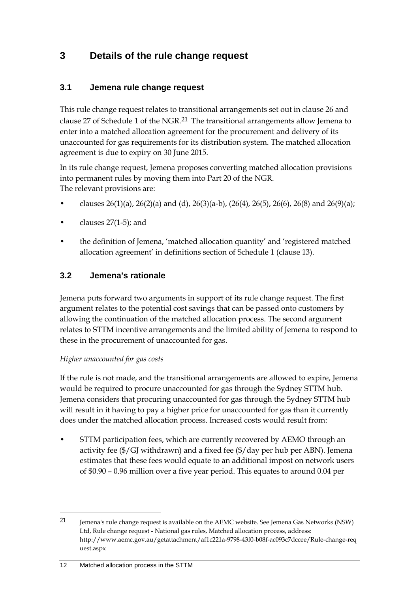## <span id="page-15-0"></span>**3 Details of the rule change request**

### <span id="page-15-1"></span>**3.1 Jemena rule change request**

This rule change request relates to transitional arrangements set out in clause 26 and clause 27 of Schedule 1 of the NGR.<sup>[21](#page-15-3)</sup> The transitional arrangements allow Jemena to enter into a matched allocation agreement for the procurement and delivery of its unaccounted for gas requirements for its distribution system. The matched allocation agreement is due to expiry on 30 June 2015.

In its rule change request, Jemena proposes converting matched allocation provisions into permanent rules by moving them into Part 20 of the NGR. The relevant provisions are:

- clauses 26(1)(a), 26(2)(a) and (d), 26(3)(a-b), (26(4), 26(5), 26(6), 26(8) and 26(9)(a);
- clauses  $27(1-5)$ ; and
- the definition of Jemena, 'matched allocation quantity' and 'registered matched allocation agreement' in definitions section of Schedule 1 (clause 13).

### <span id="page-15-2"></span>**3.2 Jemena's rationale**

Jemena puts forward two arguments in support of its rule change request. The first argument relates to the potential cost savings that can be passed onto customers by allowing the continuation of the matched allocation process. The second argument relates to STTM incentive arrangements and the limited ability of Jemena to respond to these in the procurement of unaccounted for gas.

#### *Higher unaccounted for gas costs*

If the rule is not made, and the transitional arrangements are allowed to expire, Jemena would be required to procure unaccounted for gas through the Sydney STTM hub. Jemena considers that procuring unaccounted for gas through the Sydney STTM hub will result in it having to pay a higher price for unaccounted for gas than it currently does under the matched allocation process. Increased costs would result from:

• STTM participation fees, which are currently recovered by AEMO through an activity fee (\$/GJ withdrawn) and a fixed fee (\$/day per hub per ABN). Jemena estimates that these fees would equate to an additional impost on network users of \$0.90 – 0.96 million over a five year period. This equates to around 0.04 per

<span id="page-15-3"></span><sup>21</sup> Jemena's rule change request is available on the AEMC website. See Jemena Gas Networks (NSW) Ltd, Rule change request - National gas rules, Matched allocation process, address: http://www.aemc.gov.au/getattachment/af1c221a-9798-43f0-b08f-ac093c7dccee/Rule-change-req uest.aspx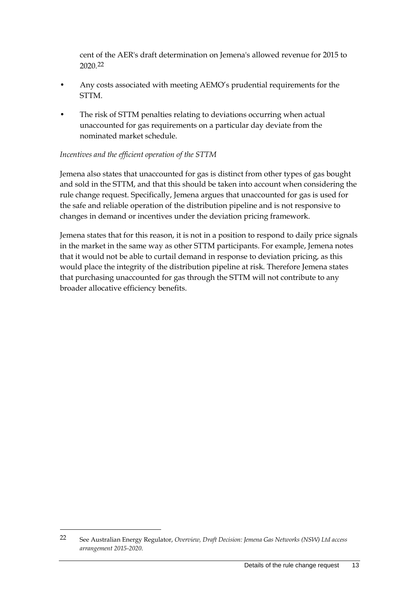cent of the AER's draft determination on Jemena's allowed revenue for 2015 to 2020.[22](#page-16-0)

- Any costs associated with meeting AEMO's prudential requirements for the STTM.
- The risk of STTM penalties relating to deviations occurring when actual unaccounted for gas requirements on a particular day deviate from the nominated market schedule.

#### *Incentives and the efficient operation of the STTM*

Jemena also states that unaccounted for gas is distinct from other types of gas bought and sold in the STTM, and that this should be taken into account when considering the rule change request. Specifically, Jemena argues that unaccounted for gas is used for the safe and reliable operation of the distribution pipeline and is not responsive to changes in demand or incentives under the deviation pricing framework.

Jemena states that for this reason, it is not in a position to respond to daily price signals in the market in the same way as other STTM participants. For example, Jemena notes that it would not be able to curtail demand in response to deviation pricing, as this would place the integrity of the distribution pipeline at risk. Therefore Jemena states that purchasing unaccounted for gas through the STTM will not contribute to any broader allocative efficiency benefits.

<span id="page-16-0"></span><sup>22</sup> See Australian Energy Regulator, *Overview, Draft Decision: Jemena Gas Networks (NSW) Ltd access arrangement 2015-2020*.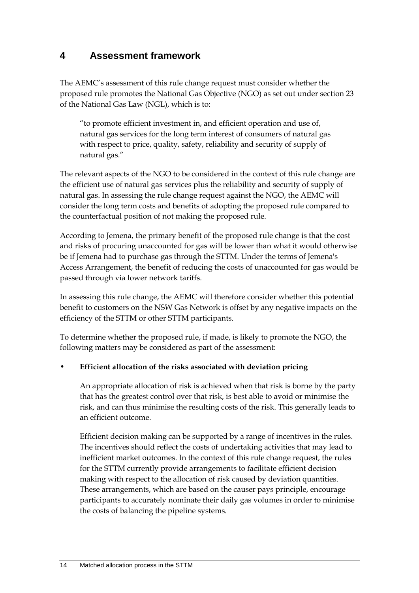## <span id="page-17-0"></span>**4 Assessment framework**

The AEMC's assessment of this rule change request must consider whether the proposed rule promotes the National Gas Objective (NGO) as set out under section 23 of the National Gas Law (NGL), which is to:

"to promote efficient investment in, and efficient operation and use of, natural gas services for the long term interest of consumers of natural gas with respect to price, quality, safety, reliability and security of supply of natural gas."

The relevant aspects of the NGO to be considered in the context of this rule change are the efficient use of natural gas services plus the reliability and security of supply of natural gas. In assessing the rule change request against the NGO, the AEMC will consider the long term costs and benefits of adopting the proposed rule compared to the counterfactual position of not making the proposed rule.

According to Jemena, the primary benefit of the proposed rule change is that the cost and risks of procuring unaccounted for gas will be lower than what it would otherwise be if Jemena had to purchase gas through the STTM. Under the terms of Jemena's Access Arrangement, the benefit of reducing the costs of unaccounted for gas would be passed through via lower network tariffs.

In assessing this rule change, the AEMC will therefore consider whether this potential benefit to customers on the NSW Gas Network is offset by any negative impacts on the efficiency of the STTM or other STTM participants.

To determine whether the proposed rule, if made, is likely to promote the NGO, the following matters may be considered as part of the assessment:

#### • **Efficient allocation of the risks associated with deviation pricing**

An appropriate allocation of risk is achieved when that risk is borne by the party that has the greatest control over that risk, is best able to avoid or minimise the risk, and can thus minimise the resulting costs of the risk. This generally leads to an efficient outcome.

Efficient decision making can be supported by a range of incentives in the rules. The incentives should reflect the costs of undertaking activities that may lead to inefficient market outcomes. In the context of this rule change request, the rules for the STTM currently provide arrangements to facilitate efficient decision making with respect to the allocation of risk caused by deviation quantities. These arrangements, which are based on the causer pays principle, encourage participants to accurately nominate their daily gas volumes in order to minimise the costs of balancing the pipeline systems.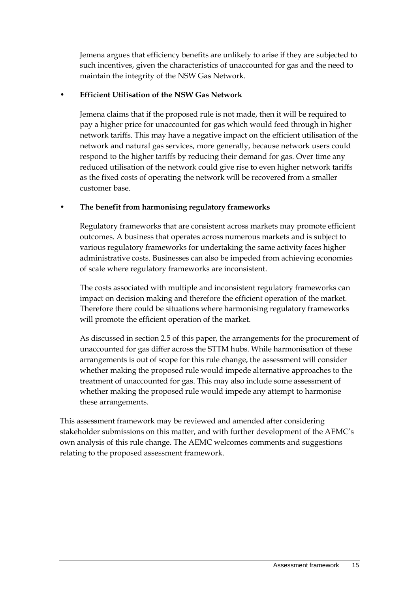Jemena argues that efficiency benefits are unlikely to arise if they are subjected to such incentives, given the characteristics of unaccounted for gas and the need to maintain the integrity of the NSW Gas Network.

#### • **Efficient Utilisation of the NSW Gas Network**

Jemena claims that if the proposed rule is not made, then it will be required to pay a higher price for unaccounted for gas which would feed through in higher network tariffs. This may have a negative impact on the efficient utilisation of the network and natural gas services, more generally, because network users could respond to the higher tariffs by reducing their demand for gas. Over time any reduced utilisation of the network could give rise to even higher network tariffs as the fixed costs of operating the network will be recovered from a smaller customer base.

#### • **The benefit from harmonising regulatory frameworks**

Regulatory frameworks that are consistent across markets may promote efficient outcomes. A business that operates across numerous markets and is subject to various regulatory frameworks for undertaking the same activity faces higher administrative costs. Businesses can also be impeded from achieving economies of scale where regulatory frameworks are inconsistent.

The costs associated with multiple and inconsistent regulatory frameworks can impact on decision making and therefore the efficient operation of the market. Therefore there could be situations where harmonising regulatory frameworks will promote the efficient operation of the market.

As discussed in sectio[n 2.5](#page-12-0) of this paper, the arrangements for the procurement of unaccounted for gas differ across the STTM hubs. While harmonisation of these arrangements is out of scope for this rule change, the assessment will consider whether making the proposed rule would impede alternative approaches to the treatment of unaccounted for gas. This may also include some assessment of whether making the proposed rule would impede any attempt to harmonise these arrangements.

This assessment framework may be reviewed and amended after considering stakeholder submissions on this matter, and with further development of the AEMC's own analysis of this rule change. The AEMC welcomes comments and suggestions relating to the proposed assessment framework.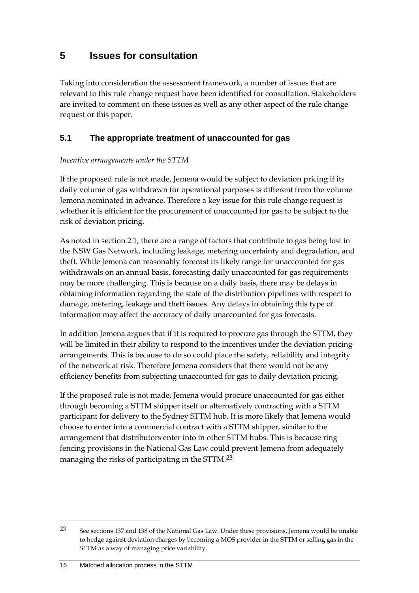## <span id="page-19-0"></span>**5 Issues for consultation**

Taking into consideration the assessment framework, a number of issues that are relevant to this rule change request have been identified for consultation. Stakeholders are invited to comment on these issues as well as any other aspect of the rule change request or this paper.

### <span id="page-19-1"></span>**5.1 The appropriate treatment of unaccounted for gas**

#### *Incentive arrangements under the STTM*

If the proposed rule is not made, Jemena would be subject to deviation pricing if its daily volume of gas withdrawn for operational purposes is different from the volume Jemena nominated in advance. Therefore a key issue for this rule change request is whether it is efficient for the procurement of unaccounted for gas to be subject to the risk of deviation pricing.

As noted in section [2.1,](#page-5-1) there are a range of factors that contribute to gas being lost in the NSW Gas Network, including leakage, metering uncertainty and degradation, and theft. While Jemena can reasonably forecast its likely range for unaccounted for gas withdrawals on an annual basis, forecasting daily unaccounted for gas requirements may be more challenging. This is because on a daily basis, there may be delays in obtaining information regarding the state of the distribution pipelines with respect to damage, metering, leakage and theft issues. Any delays in obtaining this type of information may affect the accuracy of daily unaccounted for gas forecasts.

In addition Jemena argues that if it is required to procure gas through the STTM, they will be limited in their ability to respond to the incentives under the deviation pricing arrangements. This is because to do so could place the safety, reliability and integrity of the network at risk. Therefore Jemena considers that there would not be any efficiency benefits from subjecting unaccounted for gas to daily deviation pricing.

If the proposed rule is not made, Jemena would procure unaccounted for gas either through becoming a STTM shipper itself or alternatively contracting with a STTM participant for delivery to the Sydney STTM hub. It is more likely that Jemena would choose to enter into a commercial contract with a STTM shipper, similar to the arrangement that distributors enter into in other STTM hubs. This is because ring fencing provisions in the National Gas Law could prevent Jemena from adequately managing the risks of participating in the STTM.[23](#page-19-2)

<span id="page-19-2"></span><sup>23</sup> See sections 137 and 138 of the National Gas Law. Under these provisions, Jemena would be unable to hedge against deviation charges by becoming a MOS provider in the STTM or selling gas in the STTM as a way of managing price variability.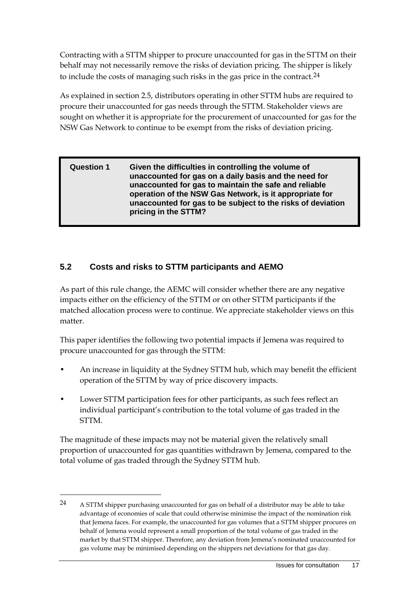Contracting with a STTM shipper to procure unaccounted for gas in the STTM on their behalf may not necessarily remove the risks of deviation pricing. The shipper is likely to include the costs of managing such risks in the gas price in the contract.<sup>[24](#page-20-1)</sup>

As explained in sectio[n 2.5,](#page-12-0) distributors operating in other STTM hubs are required to procure their unaccounted for gas needs through the STTM. Stakeholder views are sought on whether it is appropriate for the procurement of unaccounted for gas for the NSW Gas Network to continue to be exempt from the risks of deviation pricing.

#### **Question 1 Given the difficulties in controlling the volume of unaccounted for gas on a daily basis and the need for unaccounted for gas to maintain the safe and reliable operation of the NSW Gas Network, is it appropriate for unaccounted for gas to be subject to the risks of deviation pricing in the STTM?**

## <span id="page-20-0"></span>**5.2 Costs and risks to STTM participants and AEMO**

As part of this rule change, the AEMC will consider whether there are any negative impacts either on the efficiency of the STTM or on other STTM participants if the matched allocation process were to continue. We appreciate stakeholder views on this matter.

This paper identifies the following two potential impacts if Jemena was required to procure unaccounted for gas through the STTM:

- An increase in liquidity at the Sydney STTM hub, which may benefit the efficient operation of the STTM by way of price discovery impacts.
- Lower STTM participation fees for other participants, as such fees reflect an individual participant's contribution to the total volume of gas traded in the STTM.

The magnitude of these impacts may not be material given the relatively small proportion of unaccounted for gas quantities withdrawn by Jemena, compared to the total volume of gas traded through the Sydney STTM hub.

<span id="page-20-1"></span><sup>24</sup> A STTM shipper purchasing unaccounted for gas on behalf of a distributor may be able to take advantage of economies of scale that could otherwise minimise the impact of the nomination risk that Jemena faces. For example, the unaccounted for gas volumes that a STTM shipper procures on behalf of Jemena would represent a small proportion of the total volume of gas traded in the market by that STTM shipper. Therefore, any deviation from Jemena's nominated unaccounted for gas volume may be minimised depending on the shippers net deviations for that gas day.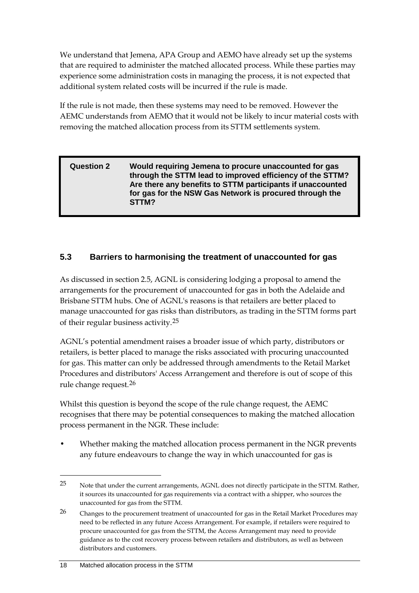We understand that Jemena, APA Group and AEMO have already set up the systems that are required to administer the matched allocated process. While these parties may experience some administration costs in managing the process, it is not expected that additional system related costs will be incurred if the rule is made.

If the rule is not made, then these systems may need to be removed. However the AEMC understands from AEMO that it would not be likely to incur material costs with removing the matched allocation process from its STTM settlements system.

#### **Question 2 Would requiring Jemena to procure unaccounted for gas through the STTM lead to improved efficiency of the STTM? Are there any benefits to STTM participants if unaccounted for gas for the NSW Gas Network is procured through the STTM?**

## <span id="page-21-0"></span>**5.3 Barriers to harmonising the treatment of unaccounted for gas**

As discussed in section [2.5,](#page-12-0) AGNL is considering lodging a proposal to amend the arrangements for the procurement of unaccounted for gas in both the Adelaide and Brisbane STTM hubs. One of AGNL's reasons is that retailers are better placed to manage unaccounted for gas risks than distributors, as trading in the STTM forms part of their regular business activity.[25](#page-21-1)

AGNL's potential amendment raises a broader issue of which party, distributors or retailers, is better placed to manage the risks associated with procuring unaccounted for gas. This matter can only be addressed through amendments to the Retail Market Procedures and distributors' Access Arrangement and therefore is out of scope of this rule change request.[26](#page-21-2)

Whilst this question is beyond the scope of the rule change request, the AEMC recognises that there may be potential consequences to making the matched allocation process permanent in the NGR. These include:

• Whether making the matched allocation process permanent in the NGR prevents any future endeavours to change the way in which unaccounted for gas is

<span id="page-21-1"></span><sup>25</sup> Note that under the current arrangements, AGNL does not directly participate in the STTM. Rather, it sources its unaccounted for gas requirements via a contract with a shipper, who sources the unaccounted for gas from the STTM.

<span id="page-21-2"></span><sup>&</sup>lt;sup>26</sup> Changes to the procurement treatment of unaccounted for gas in the Retail Market Procedures may need to be reflected in any future Access Arrangement. For example, if retailers were required to procure unaccounted for gas from the STTM, the Access Arrangement may need to provide guidance as to the cost recovery process between retailers and distributors, as well as between distributors and customers.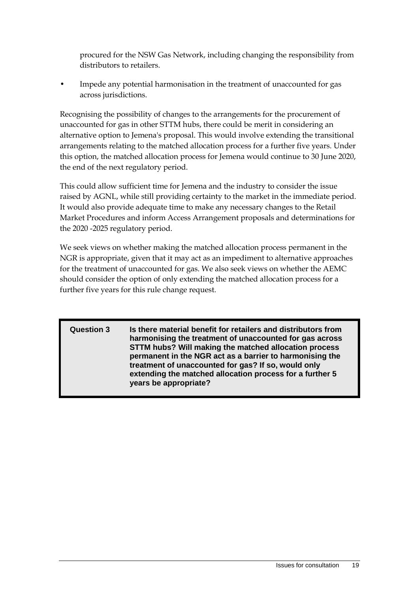procured for the NSW Gas Network, including changing the responsibility from distributors to retailers.

• Impede any potential harmonisation in the treatment of unaccounted for gas across jurisdictions.

Recognising the possibility of changes to the arrangements for the procurement of unaccounted for gas in other STTM hubs, there could be merit in considering an alternative option to Jemena's proposal. This would involve extending the transitional arrangements relating to the matched allocation process for a further five years. Under this option, the matched allocation process for Jemena would continue to 30 June 2020, the end of the next regulatory period.

This could allow sufficient time for Jemena and the industry to consider the issue raised by AGNL, while still providing certainty to the market in the immediate period. It would also provide adequate time to make any necessary changes to the Retail Market Procedures and inform Access Arrangement proposals and determinations for the 2020 -2025 regulatory period.

We seek views on whether making the matched allocation process permanent in the NGR is appropriate, given that it may act as an impediment to alternative approaches for the treatment of unaccounted for gas. We also seek views on whether the AEMC should consider the option of only extending the matched allocation process for a further five years for this rule change request.

**Question 3 Is there material benefit for retailers and distributors from harmonising the treatment of unaccounted for gas across STTM hubs? Will making the matched allocation process permanent in the NGR act as a barrier to harmonising the treatment of unaccounted for gas? If so, would only extending the matched allocation process for a further 5 years be appropriate?**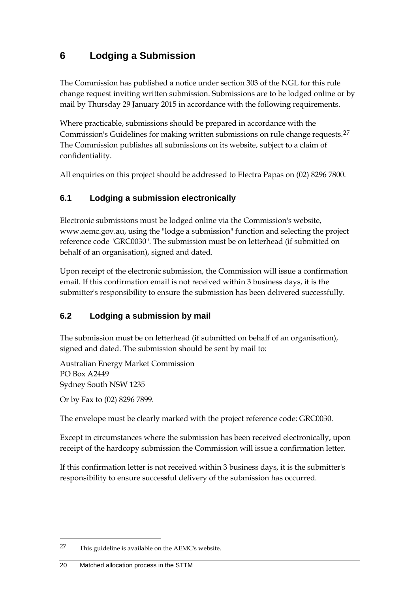## <span id="page-23-0"></span>**6 Lodging a Submission**

The Commission has published a notice under section 303 of the NGL for this rule change request inviting written submission. Submissions are to be lodged online or by mail by Thursday 29 January 2015 in accordance with the following requirements.

Where practicable, submissions should be prepared in accordance with the Commission's Guidelines for making written submissions on rule change requests.<sup>[27](#page-23-3)</sup> The Commission publishes all submissions on its website, subject to a claim of confidentiality.

All enquiries on this project should be addressed to Electra Papas on (02) 8296 7800.

### <span id="page-23-1"></span>**6.1 Lodging a submission electronically**

Electronic submissions must be lodged online via the Commission's website, www.aemc.gov.au, using the "lodge a submission" function and selecting the project reference code "GRC0030". The submission must be on letterhead (if submitted on behalf of an organisation), signed and dated.

Upon receipt of the electronic submission, the Commission will issue a confirmation email. If this confirmation email is not received within 3 business days, it is the submitter's responsibility to ensure the submission has been delivered successfully.

### <span id="page-23-2"></span>**6.2 Lodging a submission by mail**

The submission must be on letterhead (if submitted on behalf of an organisation), signed and dated. The submission should be sent by mail to:

Australian Energy Market Commission PO Box A2449 Sydney South NSW 1235

Or by Fax to (02) 8296 7899.

The envelope must be clearly marked with the project reference code: GRC0030.

Except in circumstances where the submission has been received electronically, upon receipt of the hardcopy submission the Commission will issue a confirmation letter.

If this confirmation letter is not received within 3 business days, it is the submitter's responsibility to ensure successful delivery of the submission has occurred.

<span id="page-23-3"></span><sup>27</sup> This guideline is available on the AEMC's website.